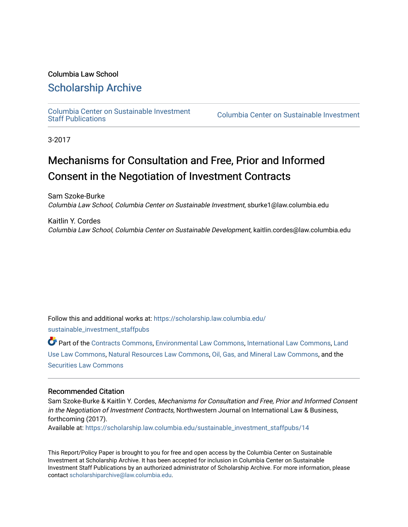# Columbia Law School

# [Scholarship Archive](https://scholarship.law.columbia.edu/)

[Columbia Center on Sustainable Investment](https://scholarship.law.columbia.edu/sustainable_investment_staffpubs) 

Columbia Center on Sustainable Investment

3-2017

# Mechanisms for Consultation and Free, Prior and Informed Consent in the Negotiation of Investment Contracts

Sam Szoke-Burke Columbia Law School, Columbia Center on Sustainable Investment, sburke1@law.columbia.edu

Kaitlin Y. Cordes Columbia Law School, Columbia Center on Sustainable Development, kaitlin.cordes@law.columbia.edu

Follow this and additional works at: [https://scholarship.law.columbia.edu/](https://scholarship.law.columbia.edu/sustainable_investment_staffpubs?utm_source=scholarship.law.columbia.edu%2Fsustainable_investment_staffpubs%2F14&utm_medium=PDF&utm_campaign=PDFCoverPages)

[sustainable\\_investment\\_staffpubs](https://scholarship.law.columbia.edu/sustainable_investment_staffpubs?utm_source=scholarship.law.columbia.edu%2Fsustainable_investment_staffpubs%2F14&utm_medium=PDF&utm_campaign=PDFCoverPages)

Part of the [Contracts Commons](http://network.bepress.com/hgg/discipline/591?utm_source=scholarship.law.columbia.edu%2Fsustainable_investment_staffpubs%2F14&utm_medium=PDF&utm_campaign=PDFCoverPages), [Environmental Law Commons,](http://network.bepress.com/hgg/discipline/599?utm_source=scholarship.law.columbia.edu%2Fsustainable_investment_staffpubs%2F14&utm_medium=PDF&utm_campaign=PDFCoverPages) [International Law Commons](http://network.bepress.com/hgg/discipline/609?utm_source=scholarship.law.columbia.edu%2Fsustainable_investment_staffpubs%2F14&utm_medium=PDF&utm_campaign=PDFCoverPages), [Land](http://network.bepress.com/hgg/discipline/852?utm_source=scholarship.law.columbia.edu%2Fsustainable_investment_staffpubs%2F14&utm_medium=PDF&utm_campaign=PDFCoverPages)  [Use Law Commons](http://network.bepress.com/hgg/discipline/852?utm_source=scholarship.law.columbia.edu%2Fsustainable_investment_staffpubs%2F14&utm_medium=PDF&utm_campaign=PDFCoverPages), [Natural Resources Law Commons,](http://network.bepress.com/hgg/discipline/863?utm_source=scholarship.law.columbia.edu%2Fsustainable_investment_staffpubs%2F14&utm_medium=PDF&utm_campaign=PDFCoverPages) [Oil, Gas, and Mineral Law Commons,](http://network.bepress.com/hgg/discipline/864?utm_source=scholarship.law.columbia.edu%2Fsustainable_investment_staffpubs%2F14&utm_medium=PDF&utm_campaign=PDFCoverPages) and the [Securities Law Commons](http://network.bepress.com/hgg/discipline/619?utm_source=scholarship.law.columbia.edu%2Fsustainable_investment_staffpubs%2F14&utm_medium=PDF&utm_campaign=PDFCoverPages)

#### Recommended Citation

Sam Szoke-Burke & Kaitlin Y. Cordes, Mechanisms for Consultation and Free, Prior and Informed Consent in the Negotiation of Investment Contracts, Northwestern Journal on International Law & Business, forthcoming (2017). Available at: [https://scholarship.law.columbia.edu/sustainable\\_investment\\_staffpubs/14](https://scholarship.law.columbia.edu/sustainable_investment_staffpubs/14?utm_source=scholarship.law.columbia.edu%2Fsustainable_investment_staffpubs%2F14&utm_medium=PDF&utm_campaign=PDFCoverPages)

This Report/Policy Paper is brought to you for free and open access by the Columbia Center on Sustainable Investment at Scholarship Archive. It has been accepted for inclusion in Columbia Center on Sustainable Investment Staff Publications by an authorized administrator of Scholarship Archive. For more information, please contact [scholarshiparchive@law.columbia.edu.](mailto:scholarshiparchive@law.columbia.edu)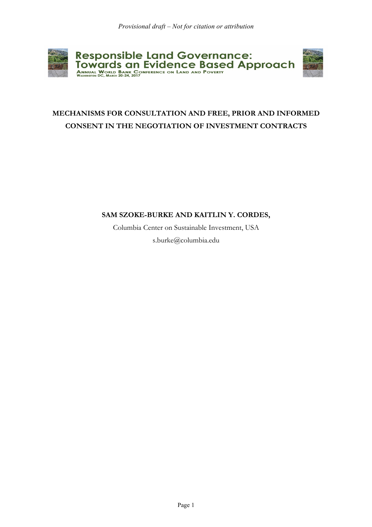

# **MECHANISMS FOR CONSULTATION AND FREE, PRIOR AND INFORMED CONSENT IN THE NEGOTIATION OF INVESTMENT CONTRACTS**

## **SAM SZOKE-BURKE AND KAITLIN Y. CORDES,**

Columbia Center on Sustainable Investment, USA s.burke@columbia.edu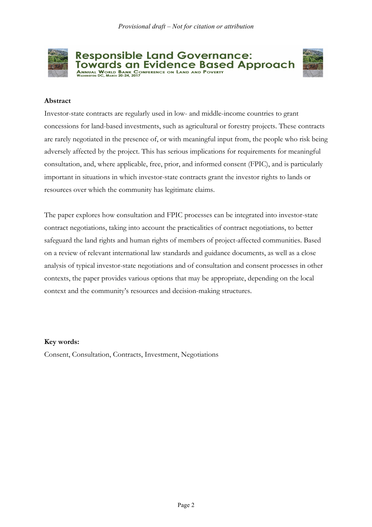

**Responsible Land Governance:** Towards an Evidence Based Approach ANNUAL WORLD BANK CONFERENCE ON LAND AND POVERTY



### **Abstract**

Investor-state contracts are regularly used in low- and middle-income countries to grant concessions for land-based investments, such as agricultural or forestry projects. These contracts are rarely negotiated in the presence of, or with meaningful input from, the people who risk being adversely affected by the project. This has serious implications for requirements for meaningful consultation, and, where applicable, free, prior, and informed consent (FPIC), and is particularly important in situations in which investor-state contracts grant the investor rights to lands or resources over which the community has legitimate claims.

The paper explores how consultation and FPIC processes can be integrated into investor-state contract negotiations, taking into account the practicalities of contract negotiations, to better safeguard the land rights and human rights of members of project-affected communities. Based on a review of relevant international law standards and guidance documents, as well as a close analysis of typical investor-state negotiations and of consultation and consent processes in other contexts, the paper provides various options that may be appropriate, depending on the local context and the community's resources and decision-making structures.

#### **Key words:**

Consent, Consultation, Contracts, Investment, Negotiations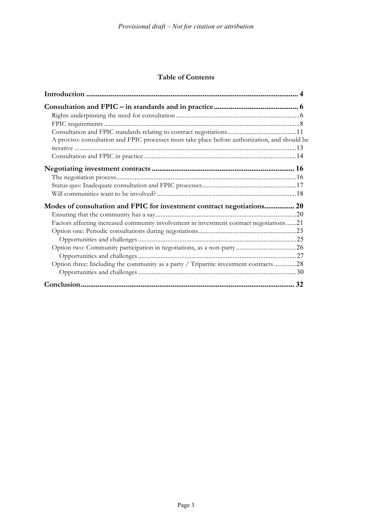### **Table of Contents**

| A proviso: consultation and FPIC processes must take place before authorization, and should be |  |
|------------------------------------------------------------------------------------------------|--|
|                                                                                                |  |
|                                                                                                |  |
|                                                                                                |  |
|                                                                                                |  |
|                                                                                                |  |
|                                                                                                |  |
|                                                                                                |  |
| Factors affecting increased community involvement in investment contract negotiations21        |  |
|                                                                                                |  |
|                                                                                                |  |
|                                                                                                |  |
|                                                                                                |  |
| Option three: Including the community as a party / Tripartite investment contracts28           |  |
|                                                                                                |  |
|                                                                                                |  |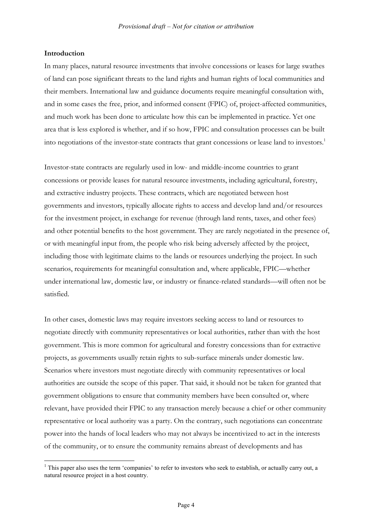#### **Introduction**

In many places, natural resource investments that involve concessions or leases for large swathes of land can pose significant threats to the land rights and human rights of local communities and their members. International law and guidance documents require meaningful consultation with, and in some cases the free, prior, and informed consent (FPIC) of, project-affected communities, and much work has been done to articulate how this can be implemented in practice. Yet one area that is less explored is whether, and if so how, FPIC and consultation processes can be built into negotiations of the investor-state contracts that grant concessions or lease land to investors.1

Investor-state contracts are regularly used in low- and middle-income countries to grant concessions or provide leases for natural resource investments, including agricultural, forestry, and extractive industry projects. These contracts, which are negotiated between host governments and investors, typically allocate rights to access and develop land and/or resources for the investment project, in exchange for revenue (through land rents, taxes, and other fees) and other potential benefits to the host government. They are rarely negotiated in the presence of, or with meaningful input from, the people who risk being adversely affected by the project, including those with legitimate claims to the lands or resources underlying the project. In such scenarios, requirements for meaningful consultation and, where applicable, FPIC—whether under international law, domestic law, or industry or finance-related standards—will often not be satisfied.

In other cases, domestic laws may require investors seeking access to land or resources to negotiate directly with community representatives or local authorities, rather than with the host government. This is more common for agricultural and forestry concessions than for extractive projects, as governments usually retain rights to sub-surface minerals under domestic law. Scenarios where investors must negotiate directly with community representatives or local authorities are outside the scope of this paper. That said, it should not be taken for granted that government obligations to ensure that community members have been consulted or, where relevant, have provided their FPIC to any transaction merely because a chief or other community representative or local authority was a party. On the contrary, such negotiations can concentrate power into the hands of local leaders who may not always be incentivized to act in the interests of the community, or to ensure the community remains abreast of developments and has

<sup>&</sup>lt;sup>1</sup> This paper also uses the term 'companies' to refer to investors who seek to establish, or actually carry out, a natural resource project in a host country.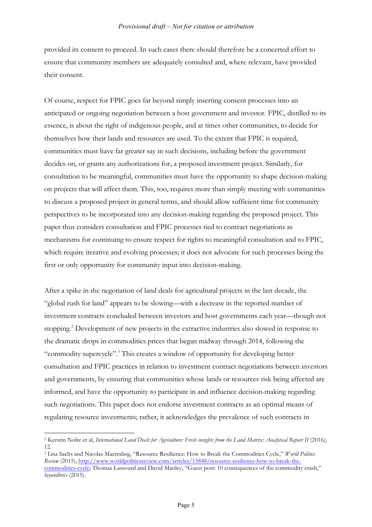provided its consent to proceed. In such cases there should therefore be a concerted effort to ensure that community members are adequately consulted and, where relevant, have provided their consent.

Of course, respect for FPIC goes far beyond simply inserting consent processes into an anticipated or ongoing negotiation between a host government and investor. FPIC, distilled to its essence, is about the right of indigenous people, and at times other communities, to decide for themselves how their lands and resources are used. To the extent that FPIC is required, communities must have far greater say in such decisions, including before the government decides on, or grants any authorizations for, a proposed investment project. Similarly, for consultation to be meaningful, communities must have the opportunity to shape decision-making on projects that will affect them. This, too, requires more than simply meeting with communities to discuss a proposed project in general terms, and should allow sufficient time for community perspectives to be incorporated into any decision-making regarding the proposed project. This paper thus considers consultation and FPIC processes tied to contract negotiations as mechanisms for continuing to ensure respect for rights to meaningful consultation and to FPIC, which require iterative and evolving processes; it does not advocate for such processes being the first or only opportunity for community input into decision-making.

After a spike in the negotiation of land deals for agricultural projects in the last decade, the "global rush for land" appears to be slowing—with a decrease in the reported number of investment contracts concluded between investors and host governments each year—though not stopping.<sup>2</sup> Development of new projects in the extractive industries also slowed in response to the dramatic drops in commodities prices that began midway through 2014, following the "commodity supercycle". <sup>3</sup> This creates a window of opportunity for developing better consultation and FPIC practices in relation to investment contract negotiations between investors and governments, by ensuring that communities whose lands or resources risk being affected are informed, and have the opportunity to participate in and influence decision-making regarding such negotiations. This paper does not endorse investment contracts as an optimal means of regulating resource investments; rather, it acknowledges the prevalence of such contracts in

<sup>&</sup>lt;sup>2</sup> Kerstin Nolte et al, *International Land Deals for Agriculture: Fresh insights from the Land Matrix: Analytical Report II (2016)*, 12.

<sup>3</sup> Lisa Sachs and Nicolas Maennling, "Resource Resilience: How to Break the Commodities Cycle," *World Politics Review* (2015), http://www.worldpoliticsreview.com/articles/15848/resource-resilience-how-to-break-thecommodities-cycle; Thomas Lassourd and David Manley, "Guest post: 10 consequences of the commodity crash," *beyondbrics* (2015).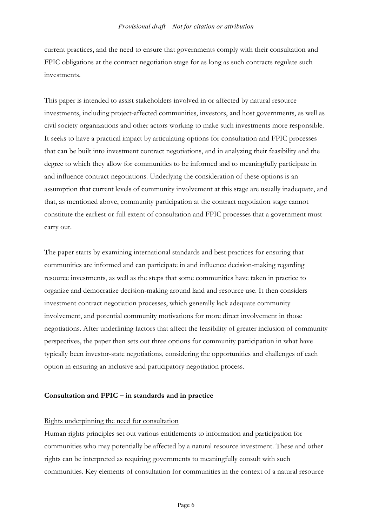current practices, and the need to ensure that governments comply with their consultation and FPIC obligations at the contract negotiation stage for as long as such contracts regulate such investments.

This paper is intended to assist stakeholders involved in or affected by natural resource investments, including project-affected communities, investors, and host governments, as well as civil society organizations and other actors working to make such investments more responsible. It seeks to have a practical impact by articulating options for consultation and FPIC processes that can be built into investment contract negotiations, and in analyzing their feasibility and the degree to which they allow for communities to be informed and to meaningfully participate in and influence contract negotiations. Underlying the consideration of these options is an assumption that current levels of community involvement at this stage are usually inadequate, and that, as mentioned above, community participation at the contract negotiation stage cannot constitute the earliest or full extent of consultation and FPIC processes that a government must carry out.

The paper starts by examining international standards and best practices for ensuring that communities are informed and can participate in and influence decision-making regarding resource investments, as well as the steps that some communities have taken in practice to organize and democratize decision-making around land and resource use. It then considers investment contract negotiation processes, which generally lack adequate community involvement, and potential community motivations for more direct involvement in those negotiations. After underlining factors that affect the feasibility of greater inclusion of community perspectives, the paper then sets out three options for community participation in what have typically been investor-state negotiations, considering the opportunities and challenges of each option in ensuring an inclusive and participatory negotiation process.

#### **Consultation and FPIC – in standards and in practice**

#### Rights underpinning the need for consultation

Human rights principles set out various entitlements to information and participation for communities who may potentially be affected by a natural resource investment. These and other rights can be interpreted as requiring governments to meaningfully consult with such communities. Key elements of consultation for communities in the context of a natural resource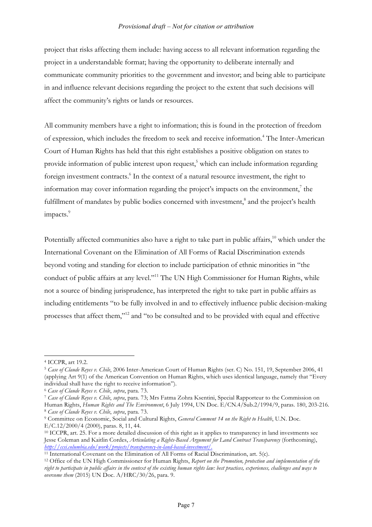project that risks affecting them include: having access to all relevant information regarding the project in a understandable format; having the opportunity to deliberate internally and communicate community priorities to the government and investor; and being able to participate in and influence relevant decisions regarding the project to the extent that such decisions will affect the community's rights or lands or resources.

All community members have a right to information; this is found in the protection of freedom of expression, which includes the freedom to seek and receive information. <sup>4</sup> The Inter-American Court of Human Rights has held that this right establishes a positive obligation on states to provide information of public interest upon request, <sup>5</sup> which can include information regarding foreign investment contracts. <sup>6</sup> In the context of a natural resource investment, the right to information may cover information regarding the project's impacts on the environment, $\frac{7}{1}$  the fulfillment of mandates by public bodies concerned with investment,<sup>8</sup> and the project's health impacts.<sup>9</sup>

Potentially affected communities also have a right to take part in public affairs,<sup>10</sup> which under the International Covenant on the Elimination of All Forms of Racial Discrimination extends beyond voting and standing for election to include participation of ethnic minorities in "the conduct of public affairs at any level."<sup>11</sup> The UN High Commissioner for Human Rights, while not a source of binding jurisprudence, has interpreted the right to take part in public affairs as including entitlements "to be fully involved in and to effectively influence public decision-making processes that affect them,"12 and "to be consulted and to be provided with equal and effective

<sup>4</sup> ICCPR, art 19.2.

<sup>5</sup> *Case of Claude Reyes v. Chile*, 2006 Inter-American Court of Human Rights (ser. C) No. 151, 19, September 2006, 41 (applying Art 9(1) of the American Convention on Human Rights, which uses identical language, namely that "Every individual shall have the right to receive information").

<sup>6</sup> *Case of Claude Reyes v. Chile*, *supra*, para. 73.

<sup>7</sup> *Case of Claude Reyes v. Chile*, *supra*, para. 73; Mrs Fatma Zohra Ksentini, Special Rapporteur to the Commission on Human Rights, *Human Rights and The Environment*, 6 July 1994, UN Doc. E/CN.4/Sub.2/1994/9, paras. 180, 203-216.

<sup>8</sup> *Case of Claude Reyes v. Chile*, *supra*, para. 73.

<sup>9</sup> Committee on Economic, Social and Cultural Rights, *General Comment 14 on the Right to Health*, U.N. Doc. E/C.12/2000/4 (2000), paras. 8, 11, 44.

<sup>10</sup> ICCPR, art. 25. For a more detailed discussion of this right as it applies to transparency in land investments see Jesse Coleman and Kaitlin Cordes, *Articulating a Rights-Based Argument for Land Contract Transparency* (forthcoming), *http://ccsi.columbia.edu/work/projects/transparency-in-land-based-investment/.*

<sup>&</sup>lt;sup>11</sup> International Covenant on the Elimination of All Forms of Racial Discrimination, art. 5(c).

<sup>12</sup> Office of the UN High Commissioner for Human Rights, *Report on the Promotion, protection and implementation of the right to participate in public affairs in the context of the existing human rights law: best practices, experiences, challenges and ways to overcome them* (2015) UN Doc. A/HRC/30/26, para. 9.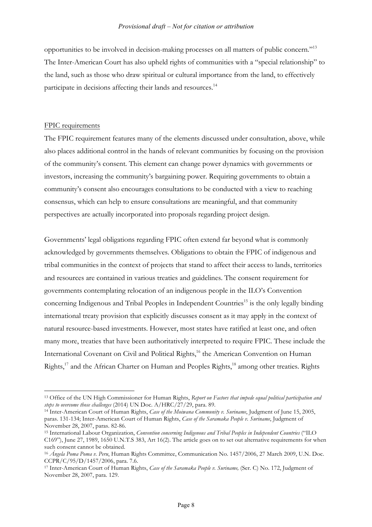opportunities to be involved in decision-making processes on all matters of public concern."13 The Inter-American Court has also upheld rights of communities with a "special relationship" to the land, such as those who draw spiritual or cultural importance from the land, to effectively participate in decisions affecting their lands and resources.<sup>14</sup>

#### FPIC requirements

The FPIC requirement features many of the elements discussed under consultation, above, while also places additional control in the hands of relevant communities by focusing on the provision of the community's consent. This element can change power dynamics with governments or investors, increasing the community's bargaining power. Requiring governments to obtain a community's consent also encourages consultations to be conducted with a view to reaching consensus, which can help to ensure consultations are meaningful, and that community perspectives are actually incorporated into proposals regarding project design.

Governments' legal obligations regarding FPIC often extend far beyond what is commonly acknowledged by governments themselves. Obligations to obtain the FPIC of indigenous and tribal communities in the context of projects that stand to affect their access to lands, territories and resources are contained in various treaties and guidelines. The consent requirement for governments contemplating relocation of an indigenous people in the ILO's Convention concerning Indigenous and Tribal Peoples in Independent Countries <sup>15</sup> is the only legally binding international treaty provision that explicitly discusses consent as it may apply in the context of natural resource-based investments. However, most states have ratified at least one, and often many more, treaties that have been authoritatively interpreted to require FPIC. These include the International Covenant on Civil and Political Rights,<sup>16</sup> the American Convention on Human Rights,<sup>17</sup> and the African Charter on Human and Peoples Rights,<sup>18</sup> among other treaties. Rights

 $\overline{a}$ <sup>13</sup> Office of the UN High Commissioner for Human Rights, *Report on Factors that impede equal political participation and steps to overcome those challenges* (2014) UN Doc. A/HRC/27/29, para. 89.

<sup>14</sup> Inter-American Court of Human Rights, *Case of the Moiwana Community v. Suriname*, Judgment of June 15, 2005, paras. 131-134; Inter-American Court of Human Rights, *Case of the Saramaka People v. Suriname*, Judgment of November 28, 2007, paras. 82-86.

<sup>15</sup> International Labour Organization, *Convention concerning Indigenous and Tribal Peoples in Independent Countries* ("ILO C169"), June 27, 1989, 1650 U.N.T.S 383, Art 16(2). The article goes on to set out alternative requirements for when such consent cannot be obtained.

<sup>16</sup> *Ángela Poma Poma v. Peru*, Human Rights Committee, Communication No. 1457/2006, 27 March 2009, U.N. Doc. CCPR/C/95/D/1457/2006, para. 7.6.

<sup>17</sup> Inter-American Court of Human Rights, *Case of the Saramaka People v. Suriname,* (Ser. C) No. 172, Judgment of November 28, 2007, para. 129.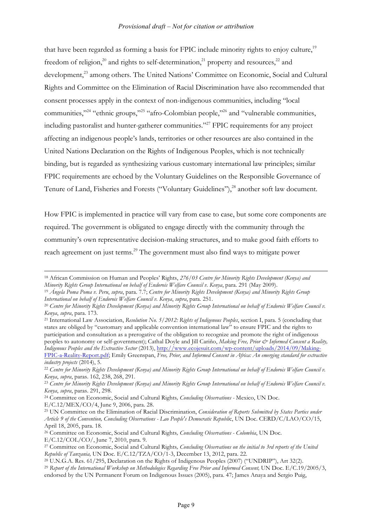that have been regarded as forming a basis for FPIC include minority rights to enjoy culture,<sup>19</sup> freedom of religion,<sup>20</sup> and rights to self-determination,<sup>21</sup> property and resources,<sup>22</sup> and development,<sup>23</sup> among others. The United Nations' Committee on Economic, Social and Cultural Rights and Committee on the Elimination of Racial Discrimination have also recommended that consent processes apply in the context of non-indigenous communities, including "local communities,"24 "ethnic groups,"25 "afro-Colombian people,"26 and "vulnerable communities, including pastoralist and hunter-gatherer communities."<sup>27</sup> FPIC requirements for any project affecting an indigenous people's lands, territories or other resources are also contained in the United Nations Declaration on the Rights of Indigenous Peoples, which is not technically binding, but is regarded as synthesizing various customary international law principles; similar FPIC requirements are echoed by the Voluntary Guidelines on the Responsible Governance of Tenure of Land, Fisheries and Forests ("Voluntary Guidelines"), <sup>28</sup> another soft law document.

How FPIC is implemented in practice will vary from case to case, but some core components are required. The government is obligated to engage directly with the community through the community's own representative decision-making structures, and to make good faith efforts to reach agreement on just terms.<sup>29</sup> The government must also find ways to mitigate power

<sup>21</sup> International Law Association, *Resolution No. 5/2012: Rights of Indigenous Peoples*, section I, para. 5 (concluding that states are obliged by "customary and applicable convention international law" to ensure FPIC and the rights to participation and consultation as a prerogative of the obligation to recognize and promote the right of indigenous peoples to autonomy or self-government); Cathal Doyle and Jill Cariño, *Making Free, Prior & Informed Consent a Reality*, *Indigenous Peoples and the Extractive Sector* (2013), http://www.ecojesuit.com/wp-content/uploads/2014/09/Making-FPIC-a-Reality-Report.pdf; Emily Greenspan, *Free, Prior, and Informed Consent in Africa: An emerging standard for extractive industry projects* (2014), 5.

<sup>24</sup> Committee on Economic, Social and Cultural Rights*, Concluding Observations -* Mexico, UN Doc. E/C.12/MEX/CO/4, June 9, 2006, para. 28.

E/C.12/COL/CO/, June 7, 2010, para. 9.

<sup>28</sup> U.N.G.A. Res. 61/295, Declaration on the Rights of Indigenous Peoples (2007) ("UNDRIP"), Art 32(2).

<sup>&</sup>lt;u>.</u> <sup>18</sup> African Commission on Human and Peoples' Rights, *276/03 Centre for Minority Rights Development (Kenya) and Minority Rights Group International on behalf of Endorois Welfare Council v. Kenya*, para. 291 (May 2009).

<sup>19</sup> *Ángela Poma Poma v. Peru*, *supra*, para. 7.7; *Centre for Minority Rights Development (Kenya) and Minority Rights Group International on behalf of Endorois Welfare Council v. Kenya*, *supra*, para. 251.

<sup>&</sup>lt;sup>20</sup> Centre for Minority Rights Development (Kenya) and Minority Rights Group International on behalf of Endorois Welfare Council v. *Kenya*, *supra*, para. 173.

<sup>&</sup>lt;sup>22</sup> Centre for Minority Rights Development (Kenya) and Minority Rights Group International on behalf of Endorois Welfare Council v. *Kenya*, *supra*, paras. 162, 238, 268, 291.

<sup>23</sup> *Centre for Minority Rights Development (Kenya) and Minority Rights Group International on behalf of Endorois Welfare Council v. Kenya*, *supra*, paras. 291, 298.

<sup>25</sup> UN Committee on the Elimination of Racial Discrimination, *Consideration of Reports Submitted by States Parties under Article 9 of the Convention, Concluding Observations - Lao People's Democratic Republi*c, UN Doc. CERD/C/LAO/CO/15, April 18, 2005, para. 18.

<sup>26</sup> Committee on Economic, Social and Cultural Rights*, Concluding Observations - Colombia*, UN Doc.

<sup>27</sup> Committee on Economic, Social and Cultural Rights*, Concluding Observations on the initial to 3rd reports of the United Republic of Tanzania,* UN Doc. E/C.12/TZA/CO/1-3, December 13, 2012, para. 22.

<sup>29</sup> *Report of the International Workshop on Methodologies Regarding Free Prior and Informed Consent,* UN Doc. E/C.19/2005/3, endorsed by the UN Permanent Forum on Indigenous Issues (2005), para. 47; James Anaya and Sergio Puig,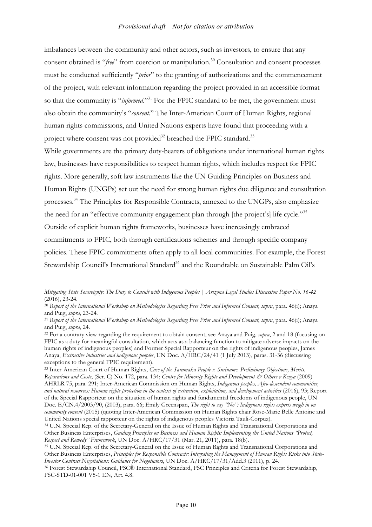imbalances between the community and other actors, such as investors, to ensure that any consent obtained is "*free*" from coercion or manipulation.<sup>30</sup> Consultation and consent processes must be conducted sufficiently "*prior*" to the granting of authorizations and the commencement of the project, with relevant information regarding the project provided in an accessible format so that the community is "*informed*."<sup>31</sup> For the FPIC standard to be met, the government must also obtain the community's "*consent*." The Inter-American Court of Human Rights, regional human rights commissions, and United Nations experts have found that proceeding with a project where consent was not provided<sup>32</sup> breached the FPIC standard.<sup>33</sup>

While governments are the primary duty-bearers of obligations under international human rights law, businesses have responsibilities to respect human rights, which includes respect for FPIC rights. More generally, soft law instruments like the UN Guiding Principles on Business and Human Rights (UNGPs) set out the need for strong human rights due diligence and consultation processes.34 The Principles for Responsible Contracts, annexed to the UNGPs, also emphasize the need for an "effective community engagement plan through [the project's] life cycle."<sup>35</sup> Outside of explicit human rights frameworks, businesses have increasingly embraced commitments to FPIC, both through certifications schemes and through specific company policies. These FPIC commitments often apply to all local communities. For example, the Forest Stewardship Council's International Standard<sup>36</sup> and the Roundtable on Sustainable Palm Oil's

<u>.</u>

<sup>33</sup> Inter-American Court of Human Rights, *Case of the Saramaka People v. Suriname. Preliminary Objections, Merits, Reparations and Costs*, (Ser. C) No. 172, para. 134; *Centre for Minority Rights and Development & Others v Kenya* (2009) AHRLR 75, para. 291; Inter-American Commission on Human Rights, *Indigenous peoples, Afro-descendent communities, and natural resources: Human rights protection in the context of extraction, exploitation, and development activities* (2016), 93; Report of the Special Rapporteur on the situation of human rights and fundamental freedoms of indigenous people, UN Doc. E/CN.4/2003/90, (2003), para. 66; Emily Greenspan, *The right to say "No": Indigenous rights experts weigh in on community consent* (2015) (quoting Inter-American Commission on Human Rights chair Rose-Marie Belle Antoine and United Nations special rapporteur on the rights of indigenous peoples Victoria Tauli-Corpuz).

*Mitigating State Sovereignty: The Duty to Consult with Indigenous Peoples | Arizona Legal Studies Discussion Paper No. 16-42* (2016), 23-24.

<sup>30</sup> *Report of the International Workshop on Methodologies Regarding Free Prior and Informed Consent, supra*, para. 46(i); Anaya and Puig, *supra*, 23-24.

<sup>31</sup> *Report of the International Workshop on Methodologies Regarding Free Prior and Informed Consent*, *supra*, para. 46(i); Anaya and Puig, *supra*, 24.

<sup>32</sup> For a contrary view regarding the requirement to obtain consent, see Anaya and Puig, *supra*, 2 and 18 (focusing on FPIC as a duty for meaningful consultation, which acts as a balancing function to mitigate adverse impacts on the human rights of indigenous peoples) and Former Special Rapporteur on the rights of indigenous peoples, James Anaya, *Extractive industries and indigenous peoples*, UN Doc. A/HRC/24/41 (1 July 2013), paras. 31-36 (discussing exceptions to the general FPIC requirement).

<sup>34</sup> U.N. Special Rep. of the Secretary-General on the Issue of Human Rights and Transnational Corporations and Other Business Enterprises, *Guiding Principles on Business and Human Rights: Implementing the United Nations "Protect, Respect and Remedy" Framework*, UN Doc. A/HRC/17/31 (Mar. 21, 2011), para. 18(b).

<sup>35</sup> U.N. Special Rep. of the Secretary-General on the Issue of Human Rights and Transnational Corporations and Other Business Enterprises, *Principles for Responsible Contracts: Integrating the Management of Human Rights Risks into State-Investor Contract Negotiations: Guidance for Negotiators*, UN Doc. A/HRC/17/31/Add.3 (2011), p. 24. <sup>36</sup> Forest Stewardship Council, FSC® International Standard, FSC Principles and Criteria for Forest Stewardship,

FSC-STD-01-001 V5-1 EN, Art. 4.8.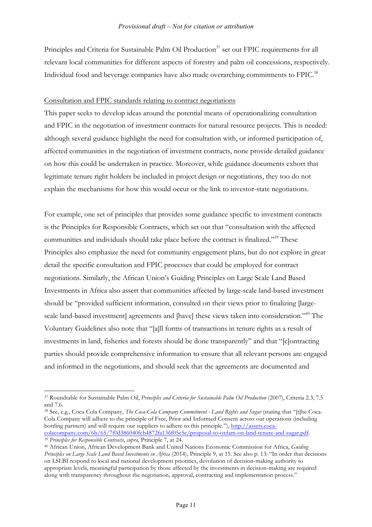Principles and Criteria for Sustainable Palm Oil Production<sup>37</sup> set out FPIC requirements for all relevant local communities for different aspects of forestry and palm oil concessions, respectively. Individual food and beverage companies have also made overarching commitments to FPIC.38

#### Consultation and FPIC standards relating to contract negotiations

This paper seeks to develop ideas around the potential means of operationalizing consultation and FPIC in the negotiation of investment contracts for natural resource projects. This is needed: although several guidance highlight the need for consultation with, or informed participation of, affected communities in the negotiation of investment contracts, none provide detailed guidance on how this could be undertaken in practice. Moreover, while guidance documents exhort that legitimate tenure right holders be included in project design or negotiations, they too do not explain the mechanisms for how this would occur or the link to investor-state negotiations.

For example, one set of principles that provides some guidance specific to investment contracts is the Principles for Responsible Contracts, which set out that "consultation with the affected communities and individuals should take place before the contract is finalized."<sup>39</sup> These Principles also emphasize the need for community engagement plans, but do not explore in great detail the specific consultation and FPIC processes that could be employed for contract negotiations. Similarly, the African Union's Guiding Principles on Large Scale Land Based Investments in Africa also assert that communities affected by large-scale land-based investment should be "provided sufficient information, consulted on their views prior to finalizing [largescale land-based investment] agreements and [have] these views taken into consideration."<sup>40</sup> The Voluntary Guidelines also note that "[a]ll forms of transactions in tenure rights as a result of investments in land, fisheries and forests should be done transparently" and that "[c]ontracting parties should provide comprehensive information to ensure that all relevant persons are engaged and informed in the negotiations, and should seek that the agreements are documented and

<sup>38</sup> See, e.g., Coca-Cola Company, *The Coca-Cola Company Commitment - Land Rights and Sugar* (stating that "[t]he Coca-Cola Company will adhere to the principle of Free, Prior and Informed Consent across our operations (including bottling partners) and will require our suppliers to adhere to this principle."), http://assets.cocacolacompany.com/6b/65/7f0d386040fcb4872fa136f05c5c/proposal-to-oxfam-on-land-tenure-and-sugar.pdf.

<sup>39</sup> *Principles for Responsible Contracts*, *supra*, Principle 7, at 24.

<sup>37</sup> Roundtable for Sustainable Palm Oil, *Principles and Criteria for Sustainable Palm Oil Production* (2007), Criteria 2.3, 7.5 and 7.6.

<sup>40</sup> African Union, African Development Bank and United Nations Economic Commission for Africa, *Guiding Principles on Large Scale Land Based Investments in Africa* (2014), Principle 9, at 15. See also p. 13: "In order that decisions on LSLBI respond to local and national development priorities, devolution of decision-making authority to appropriate levels, meaningful participation by those affected by the investments in decision-making are required along with transparency throughout the negotiation, approval, contracting and implementation process."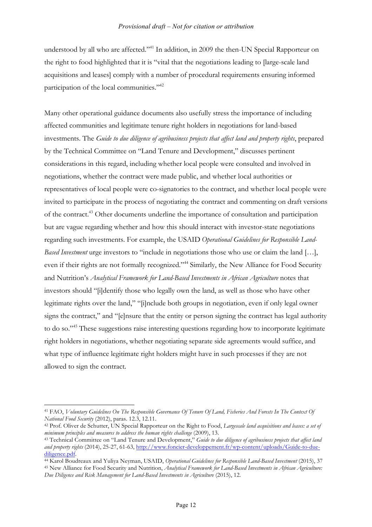understood by all who are affected."<sup>41</sup> In addition, in 2009 the then-UN Special Rapporteur on the right to food highlighted that it is "vital that the negotiations leading to [large-scale land acquisitions and leases] comply with a number of procedural requirements ensuring informed participation of the local communities."<sup>42</sup>

Many other operational guidance documents also usefully stress the importance of including affected communities and legitimate tenure right holders in negotiations for land-based investments. The *Guide to due diligence of agribusiness projects that affect land and property rights*, prepared by the Technical Committee on "Land Tenure and Development," discusses pertinent considerations in this regard, including whether local people were consulted and involved in negotiations, whether the contract were made public, and whether local authorities or representatives of local people were co-signatories to the contract, and whether local people were invited to participate in the process of negotiating the contract and commenting on draft versions of the contract.<sup>43</sup> Other documents underline the importance of consultation and participation but are vague regarding whether and how this should interact with investor-state negotiations regarding such investments. For example, the USAID *Operational Guidelines for Responsible Land-Based Investment* urge investors to "include in negotiations those who use or claim the land […], even if their rights are not formally recognized."44 Similarly, the New Alliance for Food Security and Nutrition's *Analytical Framework for Land-Based Investments in African Agriculture* notes that investors should "[i]dentify those who legally own the land, as well as those who have other legitimate rights over the land," "[i]nclude both groups in negotiation, even if only legal owner signs the contract," and "[e]nsure that the entity or person signing the contract has legal authority to do so."45 These suggestions raise interesting questions regarding how to incorporate legitimate right holders in negotiations, whether negotiating separate side agreements would suffice, and what type of influence legitimate right holders might have in such processes if they are not allowed to sign the contract.

 $\overline{a}$ <sup>41</sup> FAO, *Voluntary Guidelines On The Responsible Governance Of Tenure Of Land, Fisheries And Forests In The Context Of National Food Security* (2012), paras. 12.3, 12.11.

<sup>42</sup> Prof. Oliver de Schutter, UN Special Rapporteur on the Right to Food, *Largescale land acquisitions and leases: a set of minimum principles and measures to address the human rights challenge* (2009), 13.

<sup>43</sup> Technical Committee on "Land Tenure and Development," *Guide to due diligence of agribusiness projects that affect land and property rights* (2014), 25-27, 61-63, http://www.foncier-developpement.fr/wp-content/uploads/Guide-to-duediligence.pdf.

<sup>44</sup> Karol Boudreaux and Yuliya Neyman, USAID, *Operational Guidelines for Responsible Land-Based Investment* (2015), 37 <sup>45</sup> New Alliance for Food Security and Nutrition, *Analytical Framework for Land-Based Investments in African Agriculture:* 

*Due Diligence and Risk Management for Land-Based Investments in Agriculture* (2015), 12.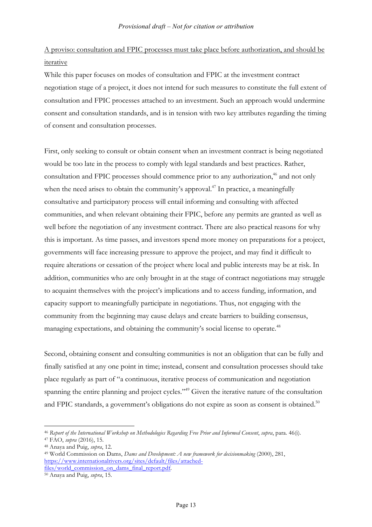# A proviso: consultation and FPIC processes must take place before authorization, and should be iterative

While this paper focuses on modes of consultation and FPIC at the investment contract negotiation stage of a project, it does not intend for such measures to constitute the full extent of consultation and FPIC processes attached to an investment. Such an approach would undermine consent and consultation standards, and is in tension with two key attributes regarding the timing of consent and consultation processes.

First, only seeking to consult or obtain consent when an investment contract is being negotiated would be too late in the process to comply with legal standards and best practices. Rather, consultation and FPIC processes should commence prior to any authorization, <sup>46</sup> and not only when the need arises to obtain the community's approval.<sup> $47$ </sup> In practice, a meaningfully consultative and participatory process will entail informing and consulting with affected communities, and when relevant obtaining their FPIC, before any permits are granted as well as well before the negotiation of any investment contract. There are also practical reasons for why this is important. As time passes, and investors spend more money on preparations for a project, governments will face increasing pressure to approve the project, and may find it difficult to require alterations or cessation of the project where local and public interests may be at risk. In addition, communities who are only brought in at the stage of contract negotiations may struggle to acquaint themselves with the project's implications and to access funding, information, and capacity support to meaningfully participate in negotiations. Thus, not engaging with the community from the beginning may cause delays and create barriers to building consensus, managing expectations, and obtaining the community's social license to operate.<sup>48</sup>

Second, obtaining consent and consulting communities is not an obligation that can be fully and finally satisfied at any one point in time; instead, consent and consultation processes should take place regularly as part of "a continuous, iterative process of communication and negotiation spanning the entire planning and project cycles."<sup>49</sup> Given the iterative nature of the consultation and FPIC standards, a government's obligations do not expire as soon as consent is obtained.<sup>50</sup>

<sup>46</sup> *Report of the International Workshop on Methodologies Regarding Free Prior and Informed Consent*, *supra*, para. 46(i).

<sup>47</sup> FAO, *supra* (2016), 15.

<sup>48</sup> Anaya and Puig, *supra*, 12.

<sup>49</sup> World Commission on Dams, *Dams and Development: A new framework for decisionmaking* (2000), 281, https://www.internationalrivers.org/sites/default/files/attachedfiles/world\_commission\_on\_dams\_final\_report.pdf. 50 Anaya and Puig, *supra*, 15.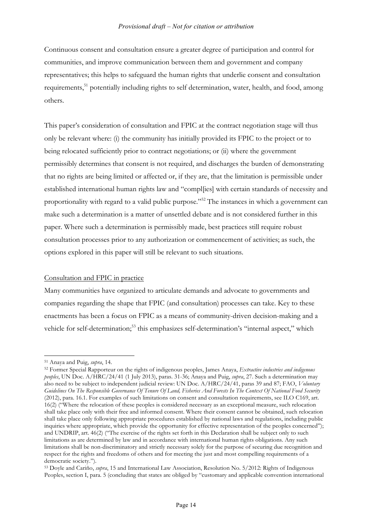Continuous consent and consultation ensure a greater degree of participation and control for communities, and improve communication between them and government and company representatives; this helps to safeguard the human rights that underlie consent and consultation requirements,<sup>51</sup> potentially including rights to self determination, water, health, and food, among others.

This paper's consideration of consultation and FPIC at the contract negotiation stage will thus only be relevant where: (i) the community has initially provided its FPIC to the project or to being relocated sufficiently prior to contract negotiations; or (ii) where the government permissibly determines that consent is not required, and discharges the burden of demonstrating that no rights are being limited or affected or, if they are, that the limitation is permissible under established international human rights law and "compl[ies] with certain standards of necessity and proportionality with regard to a valid public purpose."52 The instances in which a government can make such a determination is a matter of unsettled debate and is not considered further in this paper. Where such a determination is permissibly made, best practices still require robust consultation processes prior to any authorization or commencement of activities; as such, the options explored in this paper will still be relevant to such situations.

#### Consultation and FPIC in practice

Many communities have organized to articulate demands and advocate to governments and companies regarding the shape that FPIC (and consultation) processes can take. Key to these enactments has been a focus on FPIC as a means of community-driven decision-making and a vehicle for self-determination;<sup>53</sup> this emphasizes self-determination's "internal aspect," which

<sup>51</sup> Anaya and Puig, *supra*, 14.

<sup>52</sup> Former Special Rapporteur on the rights of indigenous peoples, James Anaya, *Extractive industries and indigenous peoples*, UN Doc. A/HRC/24/41 (1 July 2013), paras. 31-36; Anaya and Puig, *supra*, 27. Such a determination may also need to be subject to independent judicial review: UN Doc. A/HRC/24/41, paras 39 and 87; FAO, *Voluntary Guidelines On The Responsible Governance Of Tenure Of Land, Fisheries And Forests In The Context Of National Food Security*  (2012), para. 16.1. For examples of such limitations on consent and consultation requirements, see ILO C169, art. 16(2) ("Where the relocation of these peoples is considered necessary as an exceptional measure, such relocation shall take place only with their free and informed consent. Where their consent cannot be obtained, such relocation shall take place only following appropriate procedures established by national laws and regulations, including public inquiries where appropriate, which provide the opportunity for effective representation of the peoples concerned"); and UNDRIP, art. 46(2) ("The exercise of the rights set forth in this Declaration shall be subject only to such limitations as are determined by law and in accordance with international human rights obligations. Any such limitations shall be non-discriminatory and strictly necessary solely for the purpose of securing due recognition and respect for the rights and freedoms of others and for meeting the just and most compelling requirements of a democratic society.").<br><sup>53</sup> Doyle and Cariño, *supra*, 15 and International Law Association, Resolution No. 5/2012: Rights of Indigenous

Peoples, section I, para. 5 (concluding that states are obliged by "customary and applicable convention international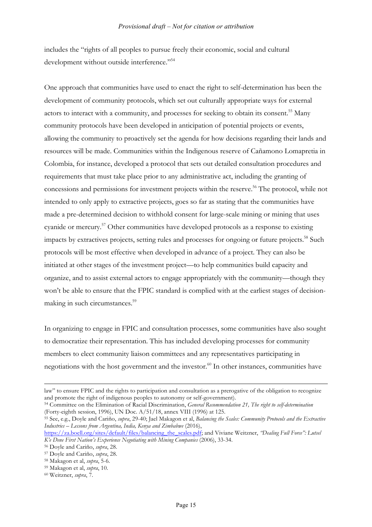includes the "rights of all peoples to pursue freely their economic, social and cultural development without outside interference."<sup>54</sup>

One approach that communities have used to enact the right to self-determination has been the development of community protocols, which set out culturally appropriate ways for external actors to interact with a community, and processes for seeking to obtain its consent.<sup>55</sup> Many community protocols have been developed in anticipation of potential projects or events, allowing the community to proactively set the agenda for how decisions regarding their lands and resources will be made. Communities within the Indigenous reserve of Cañamono Lomapretia in Colombia, for instance, developed a protocol that sets out detailed consultation procedures and requirements that must take place prior to any administrative act, including the granting of concessions and permissions for investment projects within the reserve. <sup>56</sup> The protocol, while not intended to only apply to extractive projects, goes so far as stating that the communities have made a pre-determined decision to withhold consent for large-scale mining or mining that uses cyanide or mercury.57 Other communities have developed protocols as a response to existing impacts by extractives projects, setting rules and processes for ongoing or future projects.<sup>58</sup> Such protocols will be most effective when developed in advance of a project. They can also be initiated at other stages of the investment project—to help communities build capacity and organize, and to assist external actors to engage appropriately with the community—though they won't be able to ensure that the FPIC standard is complied with at the earliest stages of decisionmaking in such circumstances. 59

In organizing to engage in FPIC and consultation processes, some communities have also sought to democratize their representation. This has included developing processes for community members to elect community liaison committees and any representatives participating in negotiations with the host government and the investor. <sup>60</sup> In other instances, communities have

<u>.</u>

law" to ensure FPIC and the rights to participation and consultation as a prerogative of the obligation to recognize and promote the right of indigenous peoples to autonomy or self-government).

<sup>54</sup> Committee on the Elimination of Racial Discrimination, *General Recommendation 21, The right to self-determination*  (Forty-eighth session, 1996), UN Doc. A/51/18, annex VIII (1996) at 125.

<sup>55</sup> See, e.g., Doyle and Cariño, *supra*, 29-40; Jael Makagon et al, *Balancing the Scales: Community Protocols and the Extractive Industries – Lessons from Argentina, India, Kenya and Zimbabwe* (2016),

https://za.boell.org/sites/default/files/balancing\_the\_scales.pdf; and Viviane Weitzner, *"Dealing Full Force": Lutsel K'e Dene First Nation's Experience Negotiating with Mining Companies* (2006), 33-34.

<sup>56</sup> Doyle and Cariño, *supra*, 28.

<sup>57</sup> Doyle and Cariño, *supra*, 28.

<sup>58</sup> Makagon et al, *supra*, 5-6.

<sup>59</sup> Makagon et al, *supra*, 10.

<sup>60</sup> Weitzner, *supra*, 7.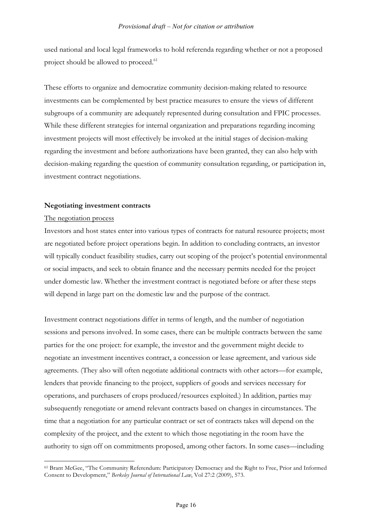used national and local legal frameworks to hold referenda regarding whether or not a proposed project should be allowed to proceed.<sup>61</sup>

These efforts to organize and democratize community decision-making related to resource investments can be complemented by best practice measures to ensure the views of different subgroups of a community are adequately represented during consultation and FPIC processes. While these different strategies for internal organization and preparations regarding incoming investment projects will most effectively be invoked at the initial stages of decision-making regarding the investment and before authorizations have been granted, they can also help with decision-making regarding the question of community consultation regarding, or participation in, investment contract negotiations.

#### **Negotiating investment contracts**

#### The negotiation process

Investors and host states enter into various types of contracts for natural resource projects; most are negotiated before project operations begin. In addition to concluding contracts, an investor will typically conduct feasibility studies, carry out scoping of the project's potential environmental or social impacts, and seek to obtain finance and the necessary permits needed for the project under domestic law. Whether the investment contract is negotiated before or after these steps will depend in large part on the domestic law and the purpose of the contract.

Investment contract negotiations differ in terms of length, and the number of negotiation sessions and persons involved. In some cases, there can be multiple contracts between the same parties for the one project: for example, the investor and the government might decide to negotiate an investment incentives contract, a concession or lease agreement, and various side agreements. (They also will often negotiate additional contracts with other actors—for example, lenders that provide financing to the project, suppliers of goods and services necessary for operations, and purchasers of crops produced/resources exploited.) In addition, parties may subsequently renegotiate or amend relevant contracts based on changes in circumstances. The time that a negotiation for any particular contract or set of contracts takes will depend on the complexity of the project, and the extent to which those negotiating in the room have the authority to sign off on commitments proposed, among other factors. In some cases—including

 $\overline{a}$ <sup>61</sup> Brant McGee, "The Community Referendum: Participatory Democracy and the Right to Free, Prior and Informed Consent to Development," *Berkeley Journal of International Law*, Vol 27:2 (2009), 573.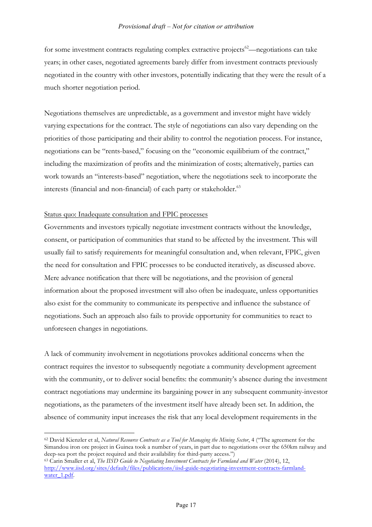for some investment contracts regulating complex extractive projects $62$ —negotiations can take years; in other cases, negotiated agreements barely differ from investment contracts previously negotiated in the country with other investors, potentially indicating that they were the result of a much shorter negotiation period.

Negotiations themselves are unpredictable, as a government and investor might have widely varying expectations for the contract. The style of negotiations can also vary depending on the priorities of those participating and their ability to control the negotiation process. For instance, negotiations can be "rents-based," focusing on the "economic equilibrium of the contract," including the maximization of profits and the minimization of costs; alternatively, parties can work towards an "interests-based" negotiation, where the negotiations seek to incorporate the interests (financial and non-financial) of each party or stakeholder.<sup>63</sup>

#### Status quo: Inadequate consultation and FPIC processes

 $\overline{a}$ 

Governments and investors typically negotiate investment contracts without the knowledge, consent, or participation of communities that stand to be affected by the investment. This will usually fail to satisfy requirements for meaningful consultation and, when relevant, FPIC, given the need for consultation and FPIC processes to be conducted iteratively, as discussed above. Mere advance notification that there will be negotiations, and the provision of general information about the proposed investment will also often be inadequate, unless opportunities also exist for the community to communicate its perspective and influence the substance of negotiations. Such an approach also fails to provide opportunity for communities to react to unforeseen changes in negotiations.

A lack of community involvement in negotiations provokes additional concerns when the contract requires the investor to subsequently negotiate a community development agreement with the community, or to deliver social benefits: the community's absence during the investment contract negotiations may undermine its bargaining power in any subsequent community-investor negotiations, as the parameters of the investment itself have already been set. In addition, the absence of community input increases the risk that any local development requirements in the

<sup>62</sup> David Kienzler et al, *Natural Resource Contracts as a Tool for Managing the Mining Sector*, 4 ("The agreement for the Simandou iron ore project in Guinea took a number of years, in part due to negotiations over the 650km railway and deep-sea port the project required and their availability for third-party access.")

<sup>63</sup> Carin Smaller et al, *The IISD Guide to Negotiating Investment Contracts for Farmland and Water* (2014), 12, http://www.iisd.org/sites/default/files/publications/iisd-guide-negotiating-investment-contracts-farmlandwater\_1.pdf.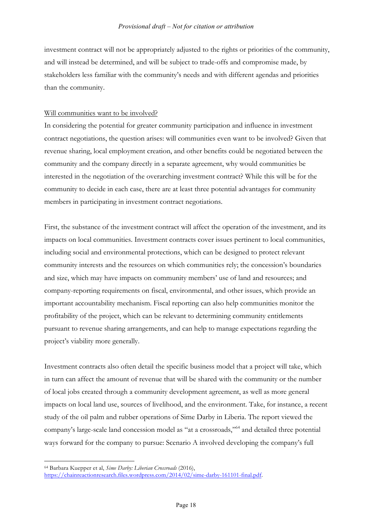investment contract will not be appropriately adjusted to the rights or priorities of the community, and will instead be determined, and will be subject to trade-offs and compromise made, by stakeholders less familiar with the community's needs and with different agendas and priorities than the community.

#### Will communities want to be involved?

In considering the potential for greater community participation and influence in investment contract negotiations, the question arises: will communities even want to be involved? Given that revenue sharing, local employment creation, and other benefits could be negotiated between the community and the company directly in a separate agreement, why would communities be interested in the negotiation of the overarching investment contract? While this will be for the community to decide in each case, there are at least three potential advantages for community members in participating in investment contract negotiations.

First, the substance of the investment contract will affect the operation of the investment, and its impacts on local communities. Investment contracts cover issues pertinent to local communities, including social and environmental protections, which can be designed to protect relevant community interests and the resources on which communities rely; the concession's boundaries and size, which may have impacts on community members' use of land and resources; and company-reporting requirements on fiscal, environmental, and other issues, which provide an important accountability mechanism. Fiscal reporting can also help communities monitor the profitability of the project, which can be relevant to determining community entitlements pursuant to revenue sharing arrangements, and can help to manage expectations regarding the project's viability more generally.

Investment contracts also often detail the specific business model that a project will take, which in turn can affect the amount of revenue that will be shared with the community or the number of local jobs created through a community development agreement, as well as more general impacts on local land use, sources of livelihood, and the environment. Take, for instance, a recent study of the oil palm and rubber operations of Sime Darby in Liberia. The report viewed the company's large-scale land concession model as "at a crossroads,"64 and detailed three potential ways forward for the company to pursue: Scenario A involved developing the company's full

 $\overline{a}$ <sup>64</sup> Barbara Kuepper et al, *Sime Darby: Liberian Crossroads* (2016), https://chainreactionresearch.files.wordpress.com/2014/02/sime-darby-161101-final.pdf.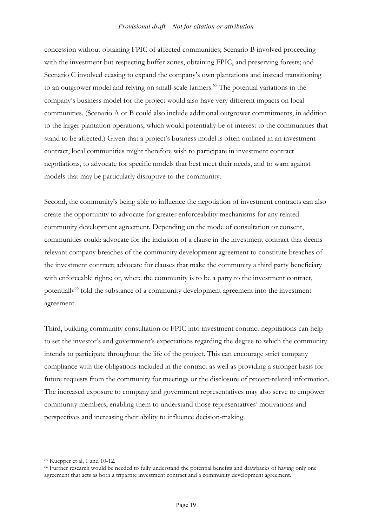concession without obtaining FPIC of affected communities; Scenario B involved proceeding with the investment but respecting buffer zones, obtaining FPIC, and preserving forests; and Scenario C involved ceasing to expand the company's own plantations and instead transitioning to an outgrower model and relying on small-scale farmers.<sup>65</sup> The potential variations in the company's business model for the project would also have very different impacts on local communities. (Scenario A or B could also include additional outgrower commitments, in addition to the larger plantation operations, which would potentially be of interest to the communities that stand to be affected.) Given that a project's business model is often outlined in an investment contract, local communities might therefore wish to participate in investment contract negotiations, to advocate for specific models that best meet their needs, and to warn against models that may be particularly disruptive to the community.

Second, the community's being able to influence the negotiation of investment contracts can also create the opportunity to advocate for greater enforceability mechanisms for any related community development agreement. Depending on the mode of consultation or consent, communities could: advocate for the inclusion of a clause in the investment contract that deems relevant company breaches of the community development agreement to constitute breaches of the investment contract; advocate for clauses that make the community a third party beneficiary with enforceable rights; or, where the community is to be a party to the investment contract, potentially<sup>66</sup> fold the substance of a community development agreement into the investment agreement.

Third, building community consultation or FPIC into investment contract negotiations can help to set the investor's and government's expectations regarding the degree to which the community intends to participate throughout the life of the project. This can encourage strict company compliance with the obligations included in the contract as well as providing a stronger basis for future requests from the community for meetings or the disclosure of project-related information. The increased exposure to company and government representatives may also serve to empower community members, enabling them to understand those representatives' motivations and perspectives and increasing their ability to influence decision-making.

<sup>65</sup> Kuepper et al, 1 and 10-12.

<sup>66</sup> Further research would be needed to fully understand the potential benefits and drawbacks of having only one agreement that acts as both a tripartite investment contract and a community development agreement.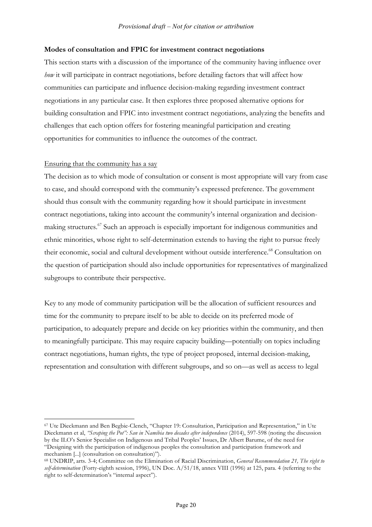#### **Modes of consultation and FPIC for investment contract negotiations**

This section starts with a discussion of the importance of the community having influence over *how* it will participate in contract negotiations, before detailing factors that will affect how communities can participate and influence decision-making regarding investment contract negotiations in any particular case. It then explores three proposed alternative options for building consultation and FPIC into investment contract negotiations, analyzing the benefits and challenges that each option offers for fostering meaningful participation and creating opportunities for communities to influence the outcomes of the contract.

#### Ensuring that the community has a say

 $\overline{a}$ 

The decision as to which mode of consultation or consent is most appropriate will vary from case to case, and should correspond with the community's expressed preference. The government should thus consult with the community regarding how it should participate in investment contract negotiations, taking into account the community's internal organization and decisionmaking structures.<sup>67</sup> Such an approach is especially important for indigenous communities and ethnic minorities, whose right to self-determination extends to having the right to pursue freely their economic, social and cultural development without outside interference.<sup>68</sup> Consultation on the question of participation should also include opportunities for representatives of marginalized subgroups to contribute their perspective.

Key to any mode of community participation will be the allocation of sufficient resources and time for the community to prepare itself to be able to decide on its preferred mode of participation, to adequately prepare and decide on key priorities within the community, and then to meaningfully participate. This may require capacity building—potentially on topics including contract negotiations, human rights, the type of project proposed, internal decision-making, representation and consultation with different subgroups, and so on—as well as access to legal

<sup>67</sup> Ute Dieckmann and Ben Begbie-Clench, "Chapter 19: Consultation, Participation and Representation," in Ute Dieckmann et al, *"Scraping the Pot": San in Namibia two decades after independence* (2014), 597-598 (noting the discussion by the ILO's Senior Specialist on Indigenous and Tribal Peoples' Issues, Dr Albert Barume, of the need for "Designing with the participation of indigenous peoples the consultation and participation framework and mechanism [...] (consultation on consultation)").

<sup>68</sup> UNDRIP, arts. 3-4; Committee on the Elimination of Racial Discrimination, *General Recommendation 21, The right to self-determination* (Forty-eighth session, 1996), UN Doc. A/51/18, annex VIII (1996) at 125, para. 4 (referring to the right to self-determination's "internal aspect").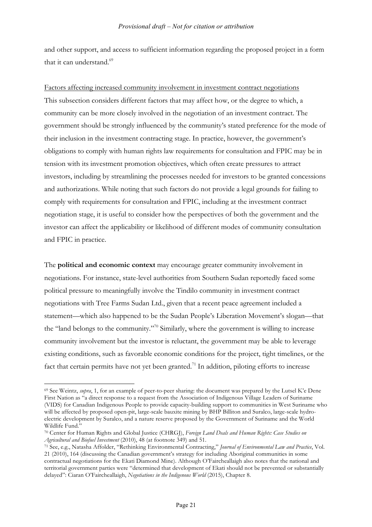and other support, and access to sufficient information regarding the proposed project in a form that it can understand.<sup>69</sup>

Factors affecting increased community involvement in investment contract negotiations This subsection considers different factors that may affect how, or the degree to which, a community can be more closely involved in the negotiation of an investment contract. The government should be strongly influenced by the community's stated preference for the mode of their inclusion in the investment contracting stage. In practice, however, the government's obligations to comply with human rights law requirements for consultation and FPIC may be in tension with its investment promotion objectives, which often create pressures to attract investors, including by streamlining the processes needed for investors to be granted concessions and authorizations. While noting that such factors do not provide a legal grounds for failing to comply with requirements for consultation and FPIC, including at the investment contract negotiation stage, it is useful to consider how the perspectives of both the government and the investor can affect the applicability or likelihood of different modes of community consultation and FPIC in practice.

The **political and economic context** may encourage greater community involvement in negotiations. For instance, state-level authorities from Southern Sudan reportedly faced some political pressure to meaningfully involve the Tindilo community in investment contract negotiations with Tree Farms Sudan Ltd., given that a recent peace agreement included a statement—which also happened to be the Sudan People's Liberation Movement's slogan—that the "land belongs to the community."70 Similarly, where the government is willing to increase community involvement but the investor is reluctant, the government may be able to leverage existing conditions, such as favorable economic conditions for the project, tight timelines, or the fact that certain permits have not yet been granted.<sup>71</sup> In addition, piloting efforts to increase

<sup>69</sup> See Weintz, *supra*, 1, for an example of peer-to-peer sharing: the document was prepared by the Lutsel K'e Dene First Nation as "a direct response to a request from the Association of Indigenous Village Leaders of Suriname (VIDS) for Canadian Indigenous People to provide capacity-building support to communities in West Suriname who will be affected by proposed open-pit, large-scale bauxite mining by BHP Billiton and Suralco, large-scale hydroelectric development by Suralco, and a nature reserve proposed by the Government of Suriname and the World Wildlife Fund."

<sup>70</sup> Center for Human Rights and Global Justice (CHRGJ), *Foreign Land Deals and Human Rights: Case Studies on Agricultural and Biofuel Investment* (2010), 48 (at footnote 349) and 51.

<sup>71</sup> See, e.g., Natasha Affolder, "Rethinking Environmental Contracting," *Journal of Environmental Law and Practice*, Vol. 21 (2010), 164 (discussing the Canadian government's strategy for including Aboriginal communities in some contractual negotiations for the Ekati Diamond Mine). Although O'Faircheallaigh also notes that the national and territorial government parties were "determined that development of Ekati should not be prevented or substantially delayed": Ciaran O'Faircheallaigh, *Negotiations in the Indigenous World* (2015), Chapter 8.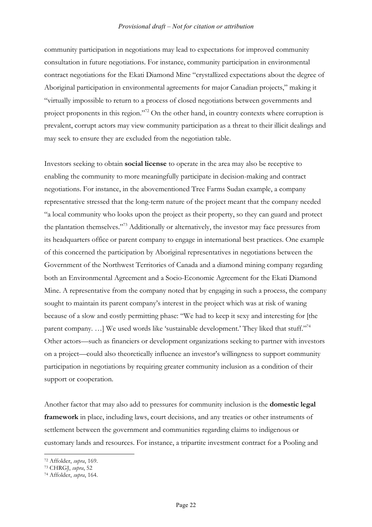community participation in negotiations may lead to expectations for improved community consultation in future negotiations. For instance, community participation in environmental contract negotiations for the Ekati Diamond Mine "crystallized expectations about the degree of Aboriginal participation in environmental agreements for major Canadian projects," making it "virtually impossible to return to a process of closed negotiations between governments and project proponents in this region."72 On the other hand, in country contexts where corruption is prevalent, corrupt actors may view community participation as a threat to their illicit dealings and may seek to ensure they are excluded from the negotiation table.

Investors seeking to obtain **social license** to operate in the area may also be receptive to enabling the community to more meaningfully participate in decision-making and contract negotiations. For instance, in the abovementioned Tree Farms Sudan example, a company representative stressed that the long-term nature of the project meant that the company needed "a local community who looks upon the project as their property, so they can guard and protect the plantation themselves."73 Additionally or alternatively, the investor may face pressures from its headquarters office or parent company to engage in international best practices. One example of this concerned the participation by Aboriginal representatives in negotiations between the Government of the Northwest Territories of Canada and a diamond mining company regarding both an Environmental Agreement and a Socio-Economic Agreement for the Ekati Diamond Mine. A representative from the company noted that by engaging in such a process, the company sought to maintain its parent company's interest in the project which was at risk of waning because of a slow and costly permitting phase: "We had to keep it sexy and interesting for [the parent company. ...] We used words like 'sustainable development.' They liked that stuff."<sup>74</sup> Other actors—such as financiers or development organizations seeking to partner with investors on a project—could also theoretically influence an investor's willingness to support community participation in negotiations by requiring greater community inclusion as a condition of their support or cooperation.

Another factor that may also add to pressures for community inclusion is the **domestic legal framework** in place, including laws, court decisions, and any treaties or other instruments of settlement between the government and communities regarding claims to indigenous or customary lands and resources. For instance, a tripartite investment contract for a Pooling and

<sup>72</sup> Affolder, *supra*, 169.

<sup>73</sup> CHRGJ, *supra*, 52

<sup>74</sup> Affolder, *supra*, 164.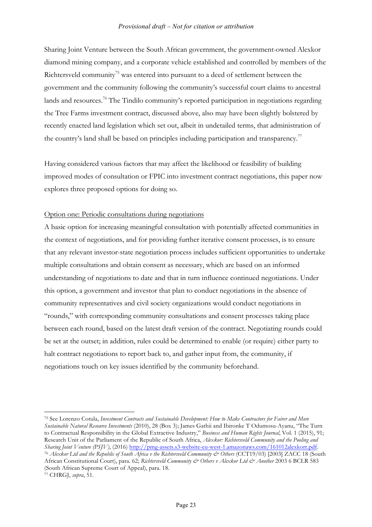Sharing Joint Venture between the South African government, the government-owned Alexkor diamond mining company, and a corporate vehicle established and controlled by members of the Richtersveld community<sup>75</sup> was entered into pursuant to a deed of settlement between the government and the community following the community's successful court claims to ancestral lands and resources.<sup>76</sup> The Tindilo community's reported participation in negotiations regarding the Tree Farms investment contract, discussed above, also may have been slightly bolstered by recently enacted land legislation which set out, albeit in undetailed terms, that administration of the country's land shall be based on principles including participation and transparency.<sup>77</sup>

Having considered various factors that may affect the likelihood or feasibility of building improved modes of consultation or FPIC into investment contract negotiations, this paper now explores three proposed options for doing so.

#### Option one: Periodic consultations during negotiations

A basic option for increasing meaningful consultation with potentially affected communities in the context of negotiations, and for providing further iterative consent processes, is to ensure that any relevant investor-state negotiation process includes sufficient opportunities to undertake multiple consultations and obtain consent as necessary, which are based on an informed understanding of negotiations to date and that in turn influence continued negotiations. Under this option, a government and investor that plan to conduct negotiations in the absence of community representatives and civil society organizations would conduct negotiations in "rounds," with corresponding community consultations and consent processes taking place between each round, based on the latest draft version of the contract. Negotiating rounds could be set at the outset; in addition, rules could be determined to enable (or require) either party to halt contract negotiations to report back to, and gather input from, the community, if negotiations touch on key issues identified by the community beforehand.

<sup>75</sup> See Lorenzo Cotula, *Investment Contracts and Sustainable Development: How to Make Contractors for Fairer and More Sustainable Natural Resource Investments* (2010), 28 (Box 3); James Gathii and Ibironke T Odumosu-Ayanu, "The Turn to Contractual Responsibility in the Global Extractive Industry," *Business and Human Rights Journal*, Vol. 1 (2015), 91; Research Unit of the Parliament of the Republic of South Africa, *Alexkor: Richtersveld Community and the Pooling and*  Sharing Joint Venture (PSJV), (2016) http://pmg-assets.s3-website-eu-west-1.amazonaws.com/161012alexkorr.pdf.<br><sup>76</sup> Alexkor Ltd and the Republic of South Africa v the Richtersveld Community & Others (CCT19/03) [2003] ZACC 1 African Constitutional Court), para. 62; *Richtersveld Community & Others v Alexkor Ltd & Another* 2003 6 BCLR 583 (South African Supreme Court of Appeal), para. 18.

<sup>77</sup> CHRGJ, *supra*, 51.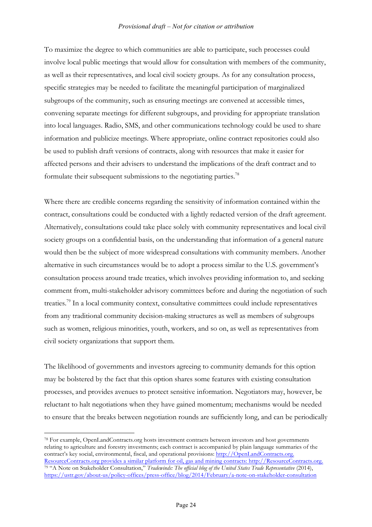To maximize the degree to which communities are able to participate, such processes could involve local public meetings that would allow for consultation with members of the community, as well as their representatives, and local civil society groups. As for any consultation process, specific strategies may be needed to facilitate the meaningful participation of marginalized subgroups of the community, such as ensuring meetings are convened at accessible times, convening separate meetings for different subgroups, and providing for appropriate translation into local languages. Radio, SMS, and other communications technology could be used to share information and publicize meetings. Where appropriate, online contract repositories could also be used to publish draft versions of contracts, along with resources that make it easier for affected persons and their advisers to understand the implications of the draft contract and to formulate their subsequent submissions to the negotiating parties.<sup>78</sup>

Where there are credible concerns regarding the sensitivity of information contained within the contract, consultations could be conducted with a lightly redacted version of the draft agreement. Alternatively, consultations could take place solely with community representatives and local civil society groups on a confidential basis, on the understanding that information of a general nature would then be the subject of more widespread consultations with community members. Another alternative in such circumstances would be to adopt a process similar to the U.S. government's consultation process around trade treaties, which involves providing information to, and seeking comment from, multi-stakeholder advisory committees before and during the negotiation of such treaties.<sup>79</sup> In a local community context, consultative committees could include representatives from any traditional community decision-making structures as well as members of subgroups such as women, religious minorities, youth, workers, and so on, as well as representatives from civil society organizations that support them.

The likelihood of governments and investors agreeing to community demands for this option may be bolstered by the fact that this option shares some features with existing consultation processes, and provides avenues to protect sensitive information. Negotiators may, however, be reluctant to halt negotiations when they have gained momentum; mechanisms would be needed to ensure that the breaks between negotiation rounds are sufficiently long, and can be periodically

<sup>78</sup> For example, OpenLandContracts.org hosts investment contracts between investors and host governments relating to agriculture and forestry investments; each contract is accompanied by plain language summaries of the contract's key social, environmental, fiscal, and operational provisions: http://OpenLandContracts.org. ResourceContracts.org provides a similar platform for oil, gas and mining contracts: http://ResourceContracts.org. <sup>79</sup> "A Note on Stakeholder Consultation," *Tradewinds: The official blog of the United States Trade Representative* (2014), https://ustr.gov/about-us/policy-offices/press-office/blog/2014/February/a-note-on-stakeholder-consultation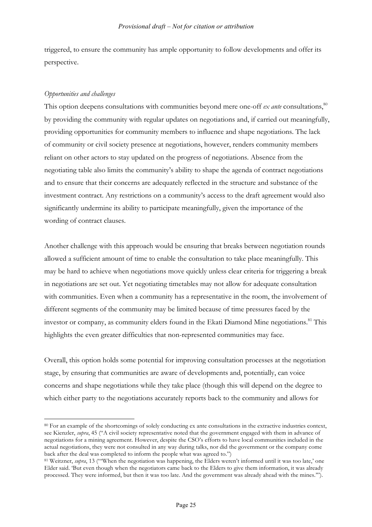triggered, to ensure the community has ample opportunity to follow developments and offer its perspective.

### *Opportunities and challenges*

 $\overline{a}$ 

This option deepens consultations with communities beyond mere one-off  $ex$  *ante* consultations,  $80$ by providing the community with regular updates on negotiations and, if carried out meaningfully, providing opportunities for community members to influence and shape negotiations. The lack of community or civil society presence at negotiations, however, renders community members reliant on other actors to stay updated on the progress of negotiations. Absence from the negotiating table also limits the community's ability to shape the agenda of contract negotiations and to ensure that their concerns are adequately reflected in the structure and substance of the investment contract. Any restrictions on a community's access to the draft agreement would also significantly undermine its ability to participate meaningfully, given the importance of the wording of contract clauses.

Another challenge with this approach would be ensuring that breaks between negotiation rounds allowed a sufficient amount of time to enable the consultation to take place meaningfully. This may be hard to achieve when negotiations move quickly unless clear criteria for triggering a break in negotiations are set out. Yet negotiating timetables may not allow for adequate consultation with communities. Even when a community has a representative in the room, the involvement of different segments of the community may be limited because of time pressures faced by the investor or company, as community elders found in the Ekati Diamond Mine negotiations. <sup>81</sup> This highlights the even greater difficulties that non-represented communities may face.

Overall, this option holds some potential for improving consultation processes at the negotiation stage, by ensuring that communities are aware of developments and, potentially, can voice concerns and shape negotiations while they take place (though this will depend on the degree to which either party to the negotiations accurately reports back to the community and allows for

<sup>80</sup> For an example of the shortcomings of solely conducting ex ante consultations in the extractive industries context, see Kienzler, *supra*, 45 ("A civil society representative noted that the government engaged with them in advance of negotiations for a mining agreement. However, despite the CSO's efforts to have local communities included in the actual negotiations, they were not consulted in any way during talks, nor did the government or the company come back after the deal was completed to inform the people what was agreed to.")

<sup>81</sup> Weitzner, *supra*, 13 ("'When the negotiation was happening, the Elders weren't informed until it was too late,' one Elder said. 'But even though when the negotiators came back to the Elders to give them information, it was already processed. They were informed, but then it was too late. And the government was already ahead with the mines.'").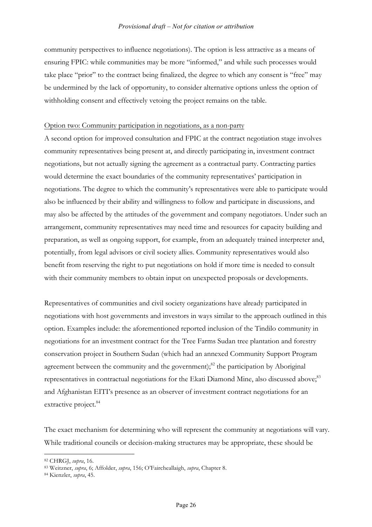community perspectives to influence negotiations). The option is less attractive as a means of ensuring FPIC: while communities may be more "informed," and while such processes would take place "prior" to the contract being finalized, the degree to which any consent is "free" may be undermined by the lack of opportunity, to consider alternative options unless the option of withholding consent and effectively vetoing the project remains on the table.

#### Option two: Community participation in negotiations, as a non-party

A second option for improved consultation and FPIC at the contract negotiation stage involves community representatives being present at, and directly participating in, investment contract negotiations, but not actually signing the agreement as a contractual party. Contracting parties would determine the exact boundaries of the community representatives' participation in negotiations. The degree to which the community's representatives were able to participate would also be influenced by their ability and willingness to follow and participate in discussions, and may also be affected by the attitudes of the government and company negotiators. Under such an arrangement, community representatives may need time and resources for capacity building and preparation, as well as ongoing support, for example, from an adequately trained interpreter and, potentially, from legal advisors or civil society allies. Community representatives would also benefit from reserving the right to put negotiations on hold if more time is needed to consult with their community members to obtain input on unexpected proposals or developments.

Representatives of communities and civil society organizations have already participated in negotiations with host governments and investors in ways similar to the approach outlined in this option. Examples include: the aforementioned reported inclusion of the Tindilo community in negotiations for an investment contract for the Tree Farms Sudan tree plantation and forestry conservation project in Southern Sudan (which had an annexed Community Support Program agreement between the community and the government); $^{82}$  the participation by Aboriginal representatives in contractual negotiations for the Ekati Diamond Mine, also discussed above;<sup>83</sup> and Afghanistan EITI's presence as an observer of investment contract negotiations for an extractive project.<sup>84</sup>

The exact mechanism for determining who will represent the community at negotiations will vary. While traditional councils or decision-making structures may be appropriate, these should be

<sup>82</sup> CHRGJ, *supra*, 16. 83 Weitzner, *supra*, 6; Affolder, *supra*, 156; O'Faircheallaigh, *supra*, Chapter 8.

<sup>84</sup> Kienzler, *supra*, 45.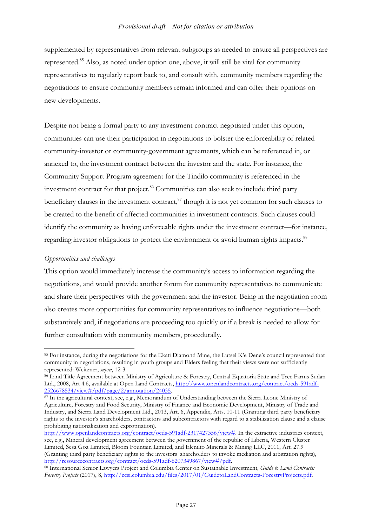supplemented by representatives from relevant subgroups as needed to ensure all perspectives are represented.85 Also, as noted under option one, above, it will still be vital for community representatives to regularly report back to, and consult with, community members regarding the negotiations to ensure community members remain informed and can offer their opinions on new developments.

Despite not being a formal party to any investment contract negotiated under this option, communities can use their participation in negotiations to bolster the enforceability of related community-investor or community-government agreements, which can be referenced in, or annexed to, the investment contract between the investor and the state. For instance, the Community Support Program agreement for the Tindilo community is referenced in the investment contract for that project.<sup>86</sup> Communities can also seek to include third party beneficiary clauses in the investment contract, $^{87}$  though it is not yet common for such clauses to be created to the benefit of affected communities in investment contracts. Such clauses could identify the community as having enforceable rights under the investment contract—for instance, regarding investor obligations to protect the environment or avoid human rights impacts.<sup>88</sup>

#### *Opportunities and challenges*

 $\overline{a}$ 

This option would immediately increase the community's access to information regarding the negotiations, and would provide another forum for community representatives to communicate and share their perspectives with the government and the investor. Being in the negotiation room also creates more opportunities for community representatives to influence negotiations—both substantively and, if negotiations are proceeding too quickly or if a break is needed to allow for further consultation with community members, procedurally.

<sup>&</sup>lt;sup>85</sup> For instance, during the negotiations for the Ekati Diamond Mine, the Lutsel K'e Dene's council represented that community in negotiations, resulting in youth groups and Elders feeling that their views were not sufficiently represented: Weitzner, *supra*, 12-3.

<sup>86</sup> Land Title Agreement between Ministry of Agriculture & Forestry, Central Equatoria State and Tree Farms Sudan Ltd., 2008, Art 4.6, available at Open Land Contracts, http://www.openlandcontracts.org/contract/ocds-591adf-2526678534/view#/pdf/page/2/annotation/24035.

<sup>87</sup> In the agricultural context, see, e.g., Memorandum of Understanding between the Sierra Leone Ministry of Agriculture, Forestry and Food Security, Ministry of Finance and Economic Development, Ministry of Trade and Industry, and Sierra Land Development Ltd., 2013, Art. 6, Appendix, Arts. 10-11 (Granting third party beneficiary rights to the investor's shareholders, contractors and subcontractors with regard to a stabilization clause and a clause prohibiting nationalization and expropriation).

http://www.openlandcontracts.org/contract/ocds-591adf-2317427356/view#. In the extractive industries context, see, e.g., Mineral development agreement between the government of the republic of Liberia, Western Cluster Limited, Sesa Goa Limited, Bloom Fountain Limited, and Elenilto Minerals & Mining LLC, 2011, Art. 27.9 (Granting third party beneficiary rights to the investors' shareholders to invoke mediation and arbitration rights), http://resourcecontracts.org/contract/ocds-591adf-6207349867/view#/pdf.

<sup>88</sup> International Senior Lawyers Project and Columbia Center on Sustainable Investment, *Guide to Land Contracts: Forestry Projects* (2017), 8, http://ccsi.columbia.edu/files/2017/01/GuidetoLandContracts-ForestryProjects.pdf.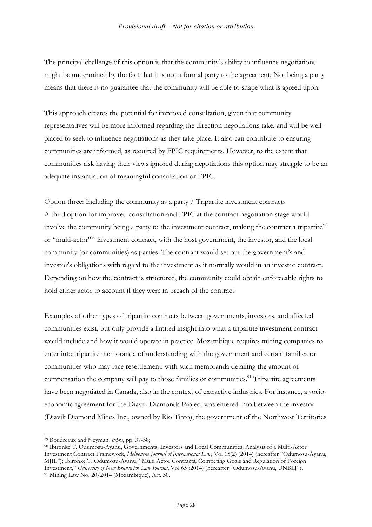The principal challenge of this option is that the community's ability to influence negotiations might be undermined by the fact that it is not a formal party to the agreement. Not being a party means that there is no guarantee that the community will be able to shape what is agreed upon.

This approach creates the potential for improved consultation, given that community representatives will be more informed regarding the direction negotiations take, and will be wellplaced to seek to influence negotiations as they take place. It also can contribute to ensuring communities are informed, as required by FPIC requirements. However, to the extent that communities risk having their views ignored during negotiations this option may struggle to be an adequate instantiation of meaningful consultation or FPIC.

#### Option three: Including the community as a party / Tripartite investment contracts

A third option for improved consultation and FPIC at the contract negotiation stage would involve the community being a party to the investment contract, making the contract a tripartite<sup>89</sup> or "multi-actor"<sup>90</sup> investment contract, with the host government, the investor, and the local community (or communities) as parties. The contract would set out the government's and investor's obligations with regard to the investment as it normally would in an investor contract. Depending on how the contract is structured, the community could obtain enforceable rights to hold either actor to account if they were in breach of the contract.

Examples of other types of tripartite contracts between governments, investors, and affected communities exist, but only provide a limited insight into what a tripartite investment contract would include and how it would operate in practice. Mozambique requires mining companies to enter into tripartite memoranda of understanding with the government and certain families or communities who may face resettlement, with such memoranda detailing the amount of compensation the company will pay to those families or communities.<sup>91</sup> Tripartite agreements have been negotiated in Canada, also in the context of extractive industries. For instance, a socioeconomic agreement for the Diavik Diamonds Project was entered into between the investor (Diavik Diamond Mines Inc., owned by Rio Tinto), the government of the Northwest Territories

<sup>&</sup>lt;sup>89</sup> Boudreaux and Neyman, *supra*, pp. 37-38;<br><sup>90</sup> Ibironke T. Odumosu-Ayanu, Governments, Investors and Local Communities: Analysis of a Multi-Actor Investment Contract Framework, *Melbourne Journal of International Law*, Vol 15(2) (2014) (hereafter "Odumosu-Ayanu, MJIL"); Ibironke T. Odumosu-Ayanu, "Multi Actor Contracts, Competing Goals and Regulation of Foreign Investment," *University of New Brunswick Law Journal*, Vol 65 (2014) (hereafter "Odumosu-Ayanu, UNBLJ").  $91$  Mining Law No. 20/2014 (Mozambique), Art. 30.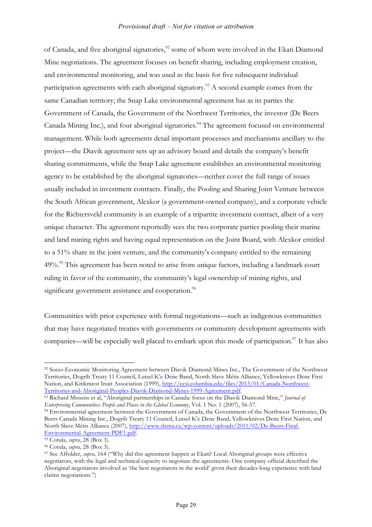of Canada, and five aboriginal signatories,<sup>92</sup> some of whom were involved in the Ekati Diamond Mine negotiations. The agreement focuses on benefit sharing, including employment creation, and environmental monitoring, and was used as the basis for five subsequent individual participation agreements with each aboriginal signatory.<sup>93</sup> A second example comes from the same Canadian territory; the Snap Lake environmental agreement has as its parties the Government of Canada, the Government of the Northwest Territories, the investor (De Beers Canada Mining Inc.), and four aboriginal signatories.<sup>94</sup> The agreement focused on environmental management. While both agreements detail important processes and mechanisms ancillary to the project—the Diavik agreement sets up an advisory board and details the company's benefit sharing commitments, while the Snap Lake agreement establishes an environmental monitoring agency to be established by the aboriginal signatories—neither cover the full range of issues usually included in investment contracts. Finally, the Pooling and Sharing Joint Venture between the South African government, Alexkor (a government-owned company), and a corporate vehicle for the Richtersveld community is an example of a tripartite investment contract, albeit of a very unique character. The agreement reportedly sees the two corporate parties pooling their marine and land mining rights and having equal representation on the Joint Board, with Alexkor entitled to a 51% share in the joint venture, and the community's company entitled to the remaining 49%.<sup>95</sup> This agreement has been noted to arise from unique factors, including a landmark court ruling in favor of the community, the community's legal ownership of mining rights, and significant government assistance and cooperation.<sup>96</sup>

Communities with prior experience with formal negotiations—such as indigenous communities that may have negotiated treaties with governments or community development agreements with companies—will be especially well placed to embark upon this mode of participation.<sup>97</sup> It has also

<sup>92</sup> Socio-Economic Monitoring Agreement between Diavik Diamond Mines Inc., The Government of the Northwest Territories, Dogrib Treaty 11 Council, Lutsel K'e Dene Band, North Slave Métis Alliance, Yellowknives Dene First Nation, and Kitikmeot Inuit Association (1999), http://ccsi.columbia.edu/files/2015/01/Canada-Northwest-Territories-and-Aboriginal-Peoples-Diavik-Diamond-Mines-1999-Agreement.pdf.

<sup>93</sup> Richard Missens et al, "Aboriginal partnerships in Canada: focus on the Diavik Diamond Mine," *Journal of Enterprising Communities: People and Places in the Global Economy*, Vol. 1 No. 1 (2007), 56-57.

<sup>94</sup> Environmental agreement between the Government of Canada, the Government of the Northwest Territories, De Beers Canada Mining Inc., Dogrib Treaty 11 Council, Lutsel K'e Dene Band, Yellowknives Dene First Nation, and North Slave Métis Alliance (2007), http://www.slema.ca/wp-content/uploads/2011/02/De-Beers-Final-Environmental-Agreement-PDF1.pdf.

<sup>95</sup> Cotula, *supra*, 28 (Box 3).

<sup>96</sup> Cotula, *supra*, 28 (Box 3).

<sup>97</sup> See Affolder, *supra,* 164 ("Why did this agreement happen at Ekati? Local Aboriginal groups were effective negotiators, with the legal and technical capacity to negotiate the agreements. One company official described the Aboriginal negotiators involved as 'the best negotiators in the world' given their decades-long experience with land claims negotiations.")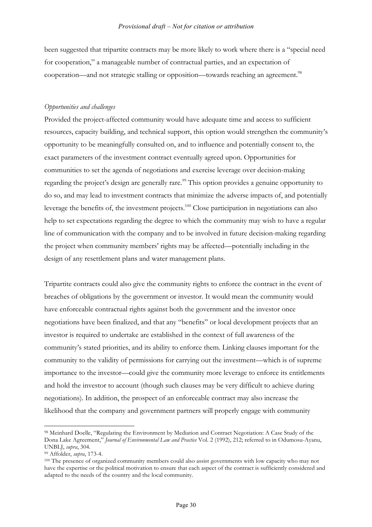been suggested that tripartite contracts may be more likely to work where there is a "special need for cooperation," a manageable number of contractual parties, and an expectation of cooperation—and not strategic stalling or opposition—towards reaching an agreement.<sup>98</sup>

#### *Opportunities and challenges*

Provided the project-affected community would have adequate time and access to sufficient resources, capacity building, and technical support, this option would strengthen the community's opportunity to be meaningfully consulted on, and to influence and potentially consent to, the exact parameters of the investment contract eventually agreed upon. Opportunities for communities to set the agenda of negotiations and exercise leverage over decision-making regarding the project's design are generally rare.<sup>99</sup> This option provides a genuine opportunity to do so, and may lead to investment contracts that minimize the adverse impacts of, and potentially leverage the benefits of, the investment projects.<sup>100</sup> Close participation in negotiations can also help to set expectations regarding the degree to which the community may wish to have a regular line of communication with the company and to be involved in future decision-making regarding the project when community members' rights may be affected—potentially including in the design of any resettlement plans and water management plans.

Tripartite contracts could also give the community rights to enforce the contract in the event of breaches of obligations by the government or investor. It would mean the community would have enforceable contractual rights against both the government and the investor once negotiations have been finalized, and that any "benefits" or local development projects that an investor is required to undertake are established in the context of full awareness of the community's stated priorities, and its ability to enforce them. Linking clauses important for the community to the validity of permissions for carrying out the investment—which is of supreme importance to the investor—could give the community more leverage to enforce its entitlements and hold the investor to account (though such clauses may be very difficult to achieve during negotiations). In addition, the prospect of an enforceable contract may also increase the likelihood that the company and government partners will properly engage with community

<sup>98</sup> Meinhard Doelle, "Regulating the Environment by Mediation and Contract Negotiation: A Case Study of the Dona Lake Agreement," *Journal of Environmental Law and Practice* Vol. 2 (1992), 212; referred to in Odumosu-Ayanu, UNBLJ, *supra*, 304.

<sup>99</sup> Affolder, *supra*, 173-4.

<sup>&</sup>lt;sup>100</sup> The presence of organized community members could also assist governments with low capacity who may not have the expertise or the political motivation to ensure that each aspect of the contract is sufficiently considered and adapted to the needs of the country and the local community.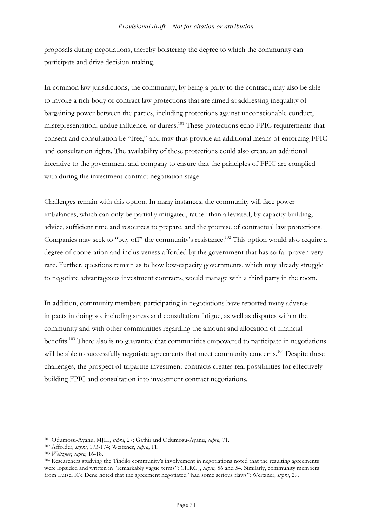proposals during negotiations, thereby bolstering the degree to which the community can participate and drive decision-making.

In common law jurisdictions, the community, by being a party to the contract, may also be able to invoke a rich body of contract law protections that are aimed at addressing inequality of bargaining power between the parties, including protections against unconscionable conduct, misrepresentation, undue influence, or duress.<sup>101</sup> These protections echo FPIC requirements that consent and consultation be "free," and may thus provide an additional means of enforcing FPIC and consultation rights. The availability of these protections could also create an additional incentive to the government and company to ensure that the principles of FPIC are complied with during the investment contract negotiation stage.

Challenges remain with this option. In many instances, the community will face power imbalances, which can only be partially mitigated, rather than alleviated, by capacity building, advice, sufficient time and resources to prepare, and the promise of contractual law protections. Companies may seek to "buy off" the community's resistance.<sup>102</sup> This option would also require a degree of cooperation and inclusiveness afforded by the government that has so far proven very rare. Further, questions remain as to how low-capacity governments, which may already struggle to negotiate advantageous investment contracts, would manage with a third party in the room.

In addition, community members participating in negotiations have reported many adverse impacts in doing so, including stress and consultation fatigue, as well as disputes within the community and with other communities regarding the amount and allocation of financial benefits.<sup>103</sup> There also is no guarantee that communities empowered to participate in negotiations will be able to successfully negotiate agreements that meet community concerns.<sup>104</sup> Despite these challenges, the prospect of tripartite investment contracts creates real possibilities for effectively building FPIC and consultation into investment contract negotiations.

<sup>101</sup> Odumosu-Ayanu, MJIL, *supra*, 27; Gathii and Odumosu-Ayanu, *supra*, 71.

<sup>102</sup> Affolder, *supra*, 173-174; Weitzner, *supra*, 11.

<sup>103</sup> *Weitzner*, *supra*, 16-18.

<sup>104</sup> Researchers studying the Tindilo community's involvement in negotiations noted that the resulting agreements were lopsided and written in "remarkably vague terms": CHRGJ, *supra*, 56 and 54. Similarly, community members from Lutsel K'e Dene noted that the agreement negotiated "had some serious flaws": Weitzner, *supra*, 29.